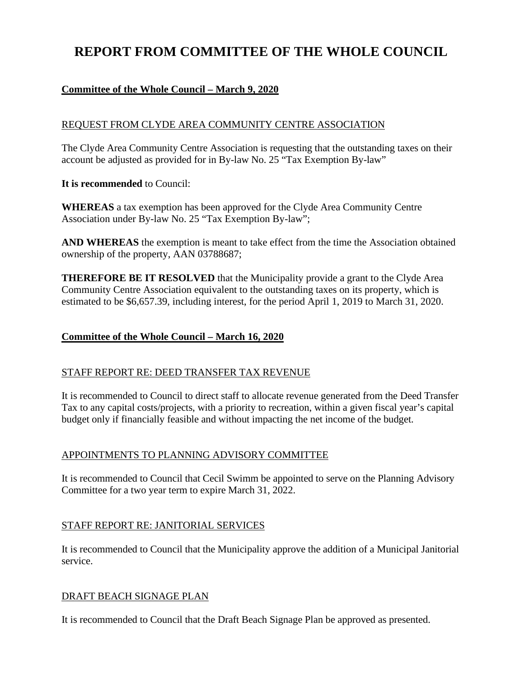# **REPORT FROM COMMITTEE OF THE WHOLE COUNCIL**

# **Committee of the Whole Council – March 9, 2020**

# REQUEST FROM CLYDE AREA COMMUNITY CENTRE ASSOCIATION

The Clyde Area Community Centre Association is requesting that the outstanding taxes on their account be adjusted as provided for in By-law No. 25 "Tax Exemption By-law"

**It is recommended** to Council:

**WHEREAS** a tax exemption has been approved for the Clyde Area Community Centre Association under By-law No. 25 "Tax Exemption By-law";

**AND WHEREAS** the exemption is meant to take effect from the time the Association obtained ownership of the property, AAN 03788687;

**THEREFORE BE IT RESOLVED** that the Municipality provide a grant to the Clyde Area Community Centre Association equivalent to the outstanding taxes on its property, which is estimated to be \$6,657.39, including interest, for the period April 1, 2019 to March 31, 2020.

# **Committee of the Whole Council – March 16, 2020**

# STAFF REPORT RE: DEED TRANSFER TAX REVENUE

It is recommended to Council to direct staff to allocate revenue generated from the Deed Transfer Tax to any capital costs/projects, with a priority to recreation, within a given fiscal year's capital budget only if financially feasible and without impacting the net income of the budget.

# APPOINTMENTS TO PLANNING ADVISORY COMMITTEE

It is recommended to Council that Cecil Swimm be appointed to serve on the Planning Advisory Committee for a two year term to expire March 31, 2022.

# STAFF REPORT RE: JANITORIAL SERVICES

It is recommended to Council that the Municipality approve the addition of a Municipal Janitorial service.

# DRAFT BEACH SIGNAGE PLAN

It is recommended to Council that the Draft Beach Signage Plan be approved as presented.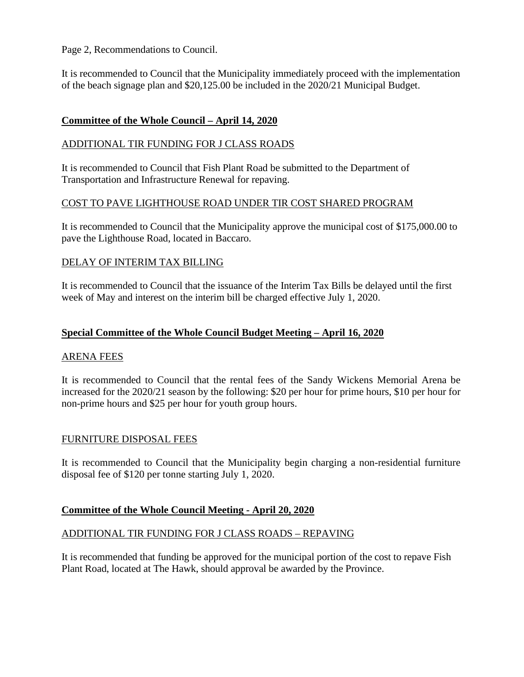Page 2, Recommendations to Council.

It is recommended to Council that the Municipality immediately proceed with the implementation of the beach signage plan and \$20,125.00 be included in the 2020/21 Municipal Budget.

# **Committee of the Whole Council – April 14, 2020**

# ADDITIONAL TIR FUNDING FOR J CLASS ROADS

It is recommended to Council that Fish Plant Road be submitted to the Department of Transportation and Infrastructure Renewal for repaving.

#### COST TO PAVE LIGHTHOUSE ROAD UNDER TIR COST SHARED PROGRAM

It is recommended to Council that the Municipality approve the municipal cost of \$175,000.00 to pave the Lighthouse Road, located in Baccaro.

#### DELAY OF INTERIM TAX BILLING

It is recommended to Council that the issuance of the Interim Tax Bills be delayed until the first week of May and interest on the interim bill be charged effective July 1, 2020.

#### **Special Committee of the Whole Council Budget Meeting – April 16, 2020**

#### ARENA FEES

It is recommended to Council that the rental fees of the Sandy Wickens Memorial Arena be increased for the 2020/21 season by the following: \$20 per hour for prime hours, \$10 per hour for non-prime hours and \$25 per hour for youth group hours.

# FURNITURE DISPOSAL FEES

It is recommended to Council that the Municipality begin charging a non-residential furniture disposal fee of \$120 per tonne starting July 1, 2020.

# **Committee of the Whole Council Meeting - April 20, 2020**

# ADDITIONAL TIR FUNDING FOR J CLASS ROADS – REPAVING

It is recommended that funding be approved for the municipal portion of the cost to repave Fish Plant Road, located at The Hawk, should approval be awarded by the Province.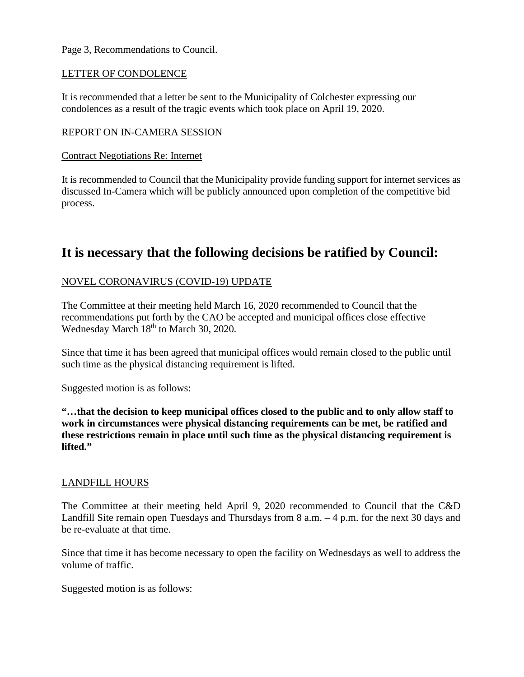#### Page 3, Recommendations to Council.

#### LETTER OF CONDOLENCE

It is recommended that a letter be sent to the Municipality of Colchester expressing our condolences as a result of the tragic events which took place on April 19, 2020.

#### REPORT ON IN-CAMERA SESSION

#### Contract Negotiations Re: Internet

It is recommended to Council that the Municipality provide funding support for internet services as discussed In-Camera which will be publicly announced upon completion of the competitive bid process.

# **It is necessary that the following decisions be ratified by Council:**

# NOVEL CORONAVIRUS (COVID-19) UPDATE

The Committee at their meeting held March 16, 2020 recommended to Council that the recommendations put forth by the CAO be accepted and municipal offices close effective Wednesday March 18<sup>th</sup> to March 30, 2020.

Since that time it has been agreed that municipal offices would remain closed to the public until such time as the physical distancing requirement is lifted.

Suggested motion is as follows:

**"…that the decision to keep municipal offices closed to the public and to only allow staff to work in circumstances were physical distancing requirements can be met, be ratified and these restrictions remain in place until such time as the physical distancing requirement is lifted."**

#### LANDFILL HOURS

The Committee at their meeting held April 9, 2020 recommended to Council that the C&D Landfill Site remain open Tuesdays and Thursdays from 8 a.m. – 4 p.m. for the next 30 days and be re-evaluate at that time.

Since that time it has become necessary to open the facility on Wednesdays as well to address the volume of traffic.

Suggested motion is as follows: